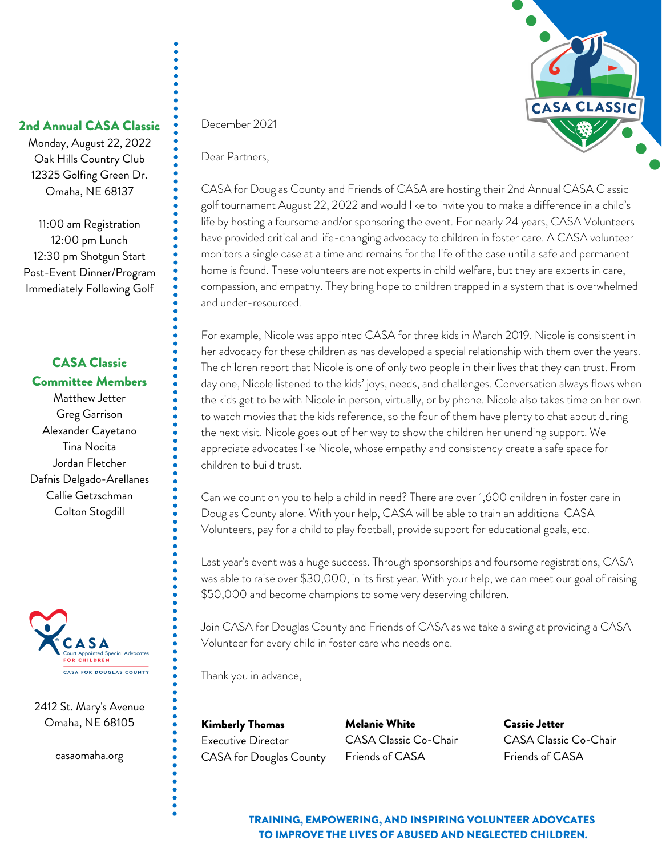

### 2nd Annual CASA Classic

Monday, August 22, 2022 Oak Hills Country Club 12325 Golfing Green Dr. Omaha, NE 68137

11:00 am Registration 12:00 pm Lunch 12:30 pm Shotgun Start Post-Event Dinner/Program Immediately Following Golf

### CASA Classic Committee Members

Matthew Jetter Greg Garrison Alexander Cayetano Tina Nocita Jordan Fletcher Dafnis Delgado-Arellanes Callie Getzschman Colton Stogdill



2412 St. Mary's Avenue Omaha, NE 68105

casaomaha.org

December 2021

Dear Partners,

CASA for Douglas County and Friends of CASA are hosting their 2nd Annual CASA Classic golf tournament August 22, 2022 and would like to invite you to make a difference in a child's life by hosting a foursome and/or sponsoring the event. For nearly 24 years, CASA Volunteers have provided critical and life-changing advocacy to children in foster care. A CASA volunteer monitors a single case at a time and remains for the life of the case until a safe and permanent home is found. These volunteers are not experts in child welfare, but they are experts in care, compassion, and empathy. They bring hope to children trapped in a system that is overwhelmed and under-resourced.

For example, Nicole was appointed CASA for three kids in March 2019. Nicole is consistent in her advocacy for these children as has developed a special relationship with them over the years. The children report that Nicole is one of only two people in their lives that they can trust. From day one, Nicole listened to the kids' joys, needs, and challenges. Conversation always flows when the kids get to be with Nicole in person, virtually, or by phone. Nicole also takes time on her own to watch movies that the kids reference, so the four of them have plenty to chat about during the next visit. Nicole goes out of her way to show the children her unending support. We appreciate advocates like Nicole, whose empathy and consistency create a safe space for children to build trust.

Can we count on you to help a child in need? There are over 1,600 children in foster care in Douglas County alone. With your help, CASA will be able to train an additional CASA Volunteers, pay for a child to play football, provide support for educational goals, etc.

Last year's event was a huge success. Through sponsorships and foursome registrations, CASA was able to raise over \$30,000, in its first year. With your help, we can meet our goal of raising \$50,000 and become champions to some very deserving children.

Join CASA for Douglas County and Friends of CASA as we take a swing at providing a CASA Volunteer for every child in foster care who needs one.

Thank you in advance,

Kimberly Thomas Executive Director CASA for Douglas County Melanie White CASA Classic Co-Chair Friends of CASA

Cassie Jetter CASA Classic Co-Chair Friends of CASA

TRAINING, EMPOWERING, AND INSPIRING VOLUNTEER ADOVCATES TO IMPROVE THE LIVES OF ABUSED AND NEGLECTED CHILDREN.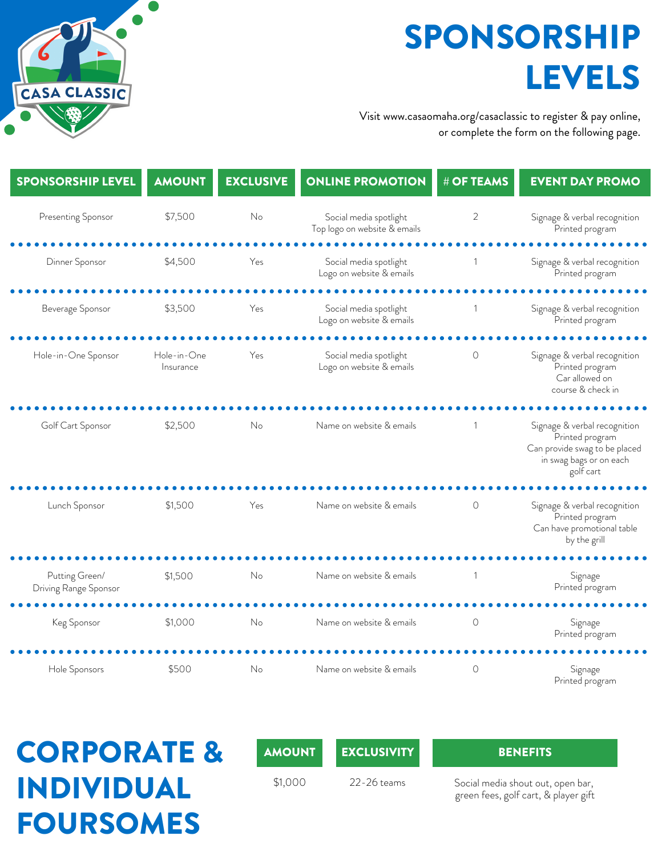SPONSORSHIP LEVELS

Visit www.casaomaha.org/casaclassic to register & pay online, or complete the form on the following page.

| <b>SPONSORSHIP LEVEL</b>                | <b>AMOUNT</b>            | <b>EXCLUSIVE</b> | <b>ONLINE PROMOTION</b>                                | # OF TEAMS     | <b>EVENT DAY PROMO</b>                                                                                                   |
|-----------------------------------------|--------------------------|------------------|--------------------------------------------------------|----------------|--------------------------------------------------------------------------------------------------------------------------|
| Presenting Sponsor                      | \$7,500                  | No               | Social media spotlight<br>Top logo on website & emails | 2              | Signage & verbal recognition<br>Printed program                                                                          |
| Dinner Sponsor                          | \$4,500                  | Yes              | Social media spotlight<br>Logo on website & emails     | -1             | Signage & verbal recognition<br>Printed program                                                                          |
| Beverage Sponsor                        | \$3,500                  | Yes              | Social media spotlight<br>Logo on website & emails     |                | Signage & verbal recognition<br>Printed program                                                                          |
| Hole-in-One Sponsor                     | Hole-in-One<br>Insurance | Yes              | Social media spotlight<br>Logo on website & emails     | $\circ$        | Signage & verbal recognition<br>Printed program<br>Car allowed on<br>course & check in                                   |
| Golf Cart Sponsor                       | \$2,500                  | No               | Name on website & emails                               |                | Signage & verbal recognition<br>Printed program<br>Can provide swag to be placed<br>in swag bags or on each<br>golf cart |
| Lunch Sponsor                           | \$1,500                  | Yes              | Name on website & emails                               | $\circ$        | Signage & verbal recognition<br>Printed program<br>Can have promotional table<br>by the grill                            |
| Putting Green/<br>Driving Range Sponsor | \$1,500                  | No               | Name on website & emails                               | $\overline{1}$ | Signage<br>Printed program                                                                                               |
| Keg Sponsor                             | \$1,000                  | No               | Name on website & emails                               | $\circ$        | Signage<br>Printed program                                                                                               |
| Hole Sponsors                           | \$500                    | No               | Name on website & emails                               | $\circ$        | Signage<br>Printed program                                                                                               |

## CORPORATE & INDIVIDUAL FOURSOMES

**CASA CLASSIC** 

AMOUNT EXCLUSIVITY BENEFITS

\$1,000 22-26 teams Social media shout out, open bar, green fees, golf cart, & player gift